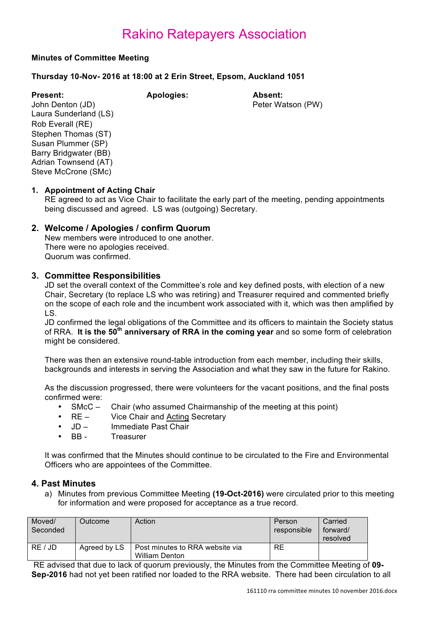### **Minutes of Committee Meeting**

### **Thursday 10-Nov- 2016 at 18:00 at 2 Erin Street, Epsom, Auckland 1051**

**Present: Apologies: Absent:** John Denton (JD) **Peter Watson (PW)** Laura Sunderland (LS) Rob Everall (RE) Stephen Thomas (ST) Susan Plummer (SP) Barry Bridgwater (BB) Adrian Townsend (AT) Steve McCrone (SMc)

### **1. Appointment of Acting Chair**

RE agreed to act as Vice Chair to facilitate the early part of the meeting, pending appointments being discussed and agreed. LS was (outgoing) Secretary.

### **2. Welcome / Apologies / confirm Quorum**

New members were introduced to one another. There were no apologies received. Quorum was confirmed.

### **3. Committee Responsibilities**

JD set the overall context of the Committee's role and key defined posts, with election of a new Chair, Secretary (to replace LS who was retiring) and Treasurer required and commented briefly on the scope of each role and the incumbent work associated with it, which was then amplified by LS.

JD confirmed the legal obligations of the Committee and its officers to maintain the Society status of RRA. **It is the 50th anniversary of RRA in the coming year** and so some form of celebration might be considered.

There was then an extensive round-table introduction from each member, including their skills, backgrounds and interests in serving the Association and what they saw in the future for Rakino.

As the discussion progressed, there were volunteers for the vacant positions, and the final posts confirmed were:

- SMcC Chair (who assumed Chairmanship of the meeting at this point)
- RE Vice Chair and Acting Secretary
- JD Immediate Past Chair
- BB Treasurer

It was confirmed that the Minutes should continue to be circulated to the Fire and Environmental Officers who are appointees of the Committee.

### **4. Past Minutes**

a) Minutes from previous Committee Meeting **(19-Oct-2016)** were circulated prior to this meeting for information and were proposed for acceptance as a true record.

| Moved/<br>Seconded | Outcome      | Action                                                   | Person<br>responsible | Carried<br>forward/<br>resolved |
|--------------------|--------------|----------------------------------------------------------|-----------------------|---------------------------------|
| RE / JD            | Agreed by LS | Post minutes to RRA website via<br><b>William Denton</b> | RE                    |                                 |

RE advised that due to lack of quorum previously, the Minutes from the Committee Meeting of **09- Sep-2016** had not yet been ratified nor loaded to the RRA website. There had been circulation to all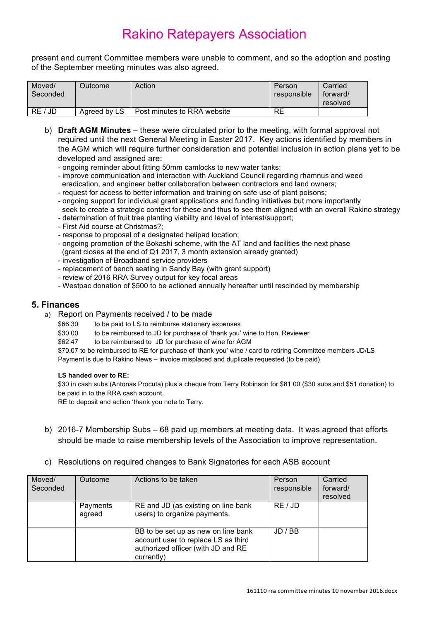present and current Committee members were unable to comment, and so the adoption and posting of the September meeting minutes was also agreed.

| Moved/<br>Seconded | Outcome⊺     | Action                      | Person<br>responsible | Carried<br>forward/<br>resolved |
|--------------------|--------------|-----------------------------|-----------------------|---------------------------------|
|                    |              |                             |                       |                                 |
| RE / JD            | Agreed by LS | Post minutes to RRA website | RE                    |                                 |

- b) **Draft AGM Minutes** these were circulated prior to the meeting, with formal approval not required until the next General Meeting in Easter 2017. Key actions identified by members in the AGM which will require further consideration and potential inclusion in action plans yet to be developed and assigned are:
	- ongoing reminder about fitting 50mm camlocks to new water tanks;
	- improve communication and interaction with Auckland Council regarding rhamnus and weed eradication, and engineer better collaboration between contractors and land owners;
	- request for access to better information and training on safe use of plant poisons;
	- ongoing support for individual grant applications and funding initiatives but more importantly seek to create a strategic context for these and thus to see them aligned with an overall Rakino strategy
	- determination of fruit tree planting viability and level of interest/support;
	- First Aid course at Christmas?;
	- response to proposal of a designated helipad location;
	- ongoing promotion of the Bokashi scheme, with the AT land and facilities the next phase (grant closes at the end of Q1 2017, 3 month extension already granted)
	- investigation of Broadband service providers
	- replacement of bench seating in Sandy Bay (with grant support)
	- review of 2016 RRA Survey output for key focal areas
	- Westpac donation of \$500 to be actioned annually hereafter until rescinded by membership

### **5. Finances**

- a) Report on Payments received / to be made
	- \$66.30 to be paid to LS to reimburse stationery expenses
	- \$30.00 to be reimbursed to JD for purchase of 'thank you' wine to Hon. Reviewer
	- \$62.47 to be reimbursed to JD for purchase of wine for AGM

\$70.07 to be reimbursed to RE for purchase of 'thank you' wine / card to retiring Committee members JD/LS Payment is due to Rakino News – invoice misplaced and duplicate requested (to be paid)

#### **LS handed over to RE:**

\$30 in cash subs (Antonas Procuta) plus a cheque from Terry Robinson for \$81.00 (\$30 subs and \$51 donation) to be paid in to the RRA cash account.

RE to deposit and action 'thank you note to Terry.

- b) 2016-7 Membership Subs 68 paid up members at meeting data. It was agreed that efforts should be made to raise membership levels of the Association to improve representation.
- c) Resolutions on required changes to Bank Signatories for each ASB account

| Moved/<br>Seconded | Outcome            | Actions to be taken                                                                                                            | Person<br>responsible | Carried<br>forward/<br>resolved |
|--------------------|--------------------|--------------------------------------------------------------------------------------------------------------------------------|-----------------------|---------------------------------|
|                    | Payments<br>agreed | RE and JD (as existing on line bank<br>users) to organize payments.                                                            | RE / JD               |                                 |
|                    |                    | BB to be set up as new on line bank<br>account user to replace LS as third<br>authorized officer (with JD and RE<br>currently) | JD / BB               |                                 |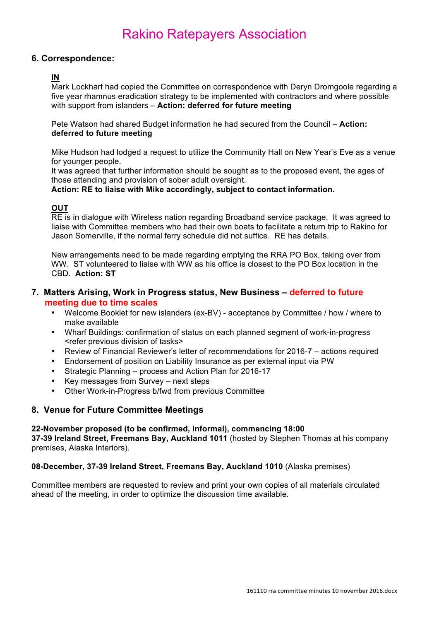### **6. Correspondence:**

# **IN**

Mark Lockhart had copied the Committee on correspondence with Deryn Dromgoole regarding a five year rhamnus eradication strategy to be implemented with contractors and where possible with support from islanders – **Action: deferred for future meeting**

Pete Watson had shared Budget information he had secured from the Council – **Action: deferred to future meeting**

Mike Hudson had lodged a request to utilize the Community Hall on New Year's Eve as a venue for younger people.

It was agreed that further information should be sought as to the proposed event, the ages of those attending and provision of sober adult oversight.

**Action: RE to liaise with Mike accordingly, subject to contact information.**

### **OUT**

RE is in dialogue with Wireless nation regarding Broadband service package. It was agreed to liaise with Committee members who had their own boats to facilitate a return trip to Rakino for Jason Somerville, if the normal ferry schedule did not suffice. RE has details.

New arrangements need to be made regarding emptying the RRA PO Box, taking over from WW. ST volunteered to liaise with WW as his office is closest to the PO Box location in the CBD. **Action: ST**

### **7. Matters Arising, Work in Progress status, New Business – deferred to future meeting due to time scales**

- Welcome Booklet for new islanders (ex-BV) acceptance by Committee / how / where to make available
- Wharf Buildings: confirmation of status on each planned segment of work-in-progress <refer previous division of tasks>
- Review of Financial Reviewer's letter of recommendations for 2016-7 actions required
- Endorsement of position on Liability Insurance as per external input via PW
- Strategic Planning process and Action Plan for 2016-17
- Key messages from Survey next steps
- Other Work-in-Progress b/fwd from previous Committee

### **8. Venue for Future Committee Meetings**

### **22-November proposed (to be confirmed, informal), commencing 18:00**

**37-39 Ireland Street, Freemans Bay, Auckland 1011** (hosted by Stephen Thomas at his company premises, Alaska Interiors).

### **08-December, 37-39 Ireland Street, Freemans Bay, Auckland 1010** (Alaska premises)

Committee members are requested to review and print your own copies of all materials circulated ahead of the meeting, in order to optimize the discussion time available.